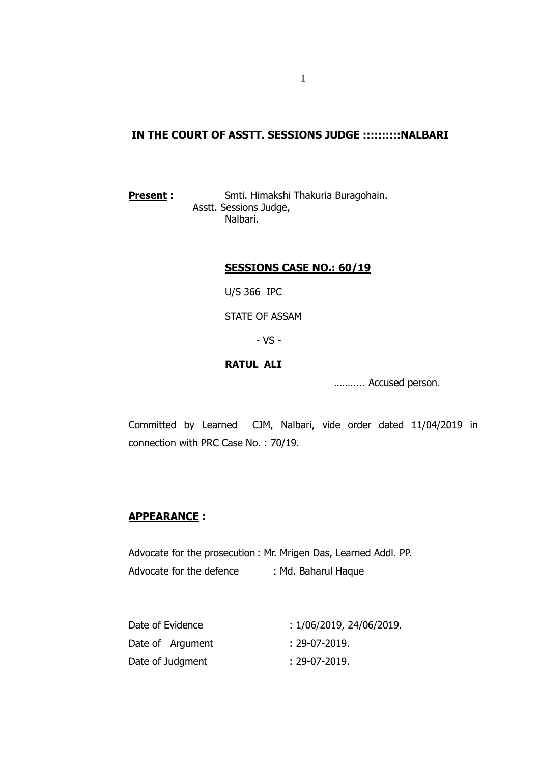## **IN THE COURT OF ASSTT. SESSIONS JUDGE ::::::::::NALBARI**

**Present :** Smti. Himakshi Thakuria Buragohain. Asstt. Sessions Judge, Nalbari.

## **SESSIONS CASE NO.: 60/19**

U/S 366 IPC

STATE OF ASSAM

- VS -

# **RATUL ALI**

……..... Accused person.

Committed by Learned CJM, Nalbari, vide order dated 11/04/2019 in connection with PRC Case No. : 70/19.

## **APPEARANCE :**

Advocate for the prosecution : Mr. Mrigen Das, Learned Addl. PP. Advocate for the defence : Md. Baharul Haque

| Date of Evidence | : 1/06/2019, 24/06/2019. |
|------------------|--------------------------|
| Date of Argument | :29-07-2019.             |
| Date of Judgment | : 29-07-2019.            |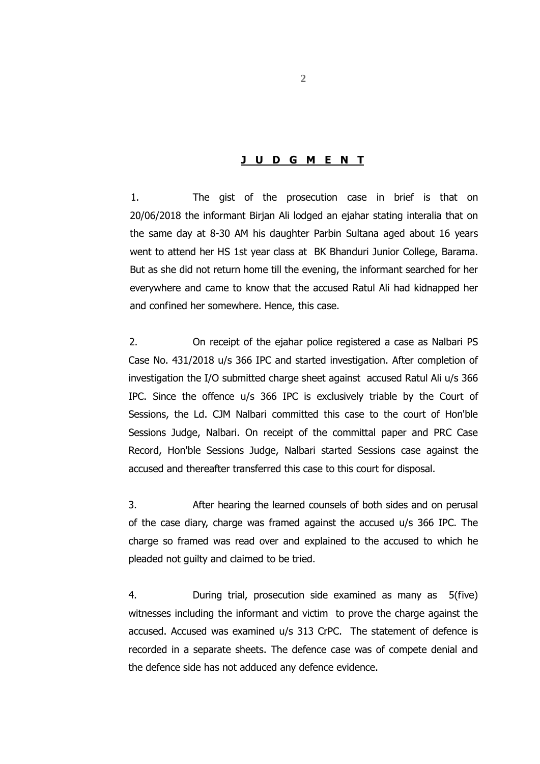## **J U D G M E N T**

1. The gist of the prosecution case in brief is that on 20/06/2018 the informant Birjan Ali lodged an ejahar stating interalia that on the same day at 8-30 AM his daughter Parbin Sultana aged about 16 years went to attend her HS 1st year class at BK Bhanduri Junior College, Barama. But as she did not return home till the evening, the informant searched for her everywhere and came to know that the accused Ratul Ali had kidnapped her and confined her somewhere. Hence, this case.

2. On receipt of the ejahar police registered a case as Nalbari PS Case No. 431/2018 u/s 366 IPC and started investigation. After completion of investigation the I/O submitted charge sheet against accused Ratul Ali u/s 366 IPC. Since the offence u/s 366 IPC is exclusively triable by the Court of Sessions, the Ld. CJM Nalbari committed this case to the court of Hon'ble Sessions Judge, Nalbari. On receipt of the committal paper and PRC Case Record, Hon'ble Sessions Judge, Nalbari started Sessions case against the accused and thereafter transferred this case to this court for disposal.

3. After hearing the learned counsels of both sides and on perusal of the case diary, charge was framed against the accused u/s 366 IPC. The charge so framed was read over and explained to the accused to which he pleaded not guilty and claimed to be tried.

4. During trial, prosecution side examined as many as 5(five) witnesses including the informant and victim to prove the charge against the accused. Accused was examined u/s 313 CrPC. The statement of defence is recorded in a separate sheets. The defence case was of compete denial and the defence side has not adduced any defence evidence.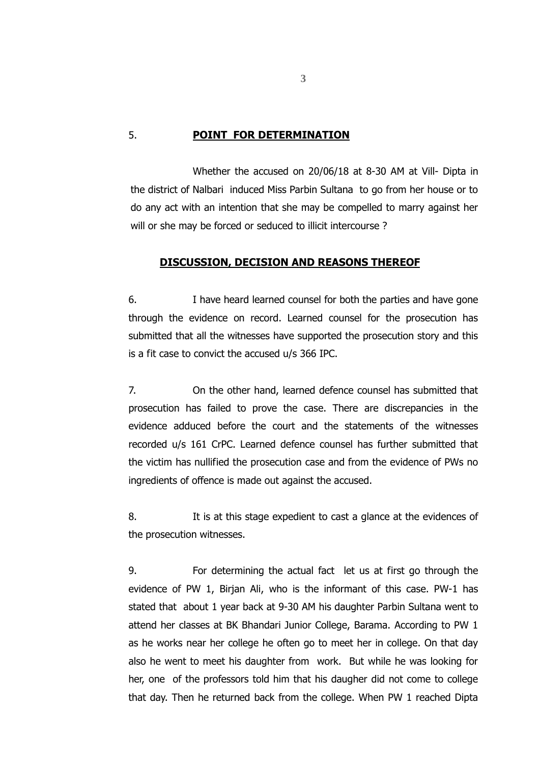#### 5. **POINT FOR DETERMINATION**

Whether the accused on 20/06/18 at 8-30 AM at Vill- Dipta in the district of Nalbari induced Miss Parbin Sultana to go from her house or to do any act with an intention that she may be compelled to marry against her will or she may be forced or seduced to illicit intercourse ?

#### **DISCUSSION, DECISION AND REASONS THEREOF**

6. I have heard learned counsel for both the parties and have gone through the evidence on record. Learned counsel for the prosecution has submitted that all the witnesses have supported the prosecution story and this is a fit case to convict the accused u/s 366 IPC.

7. On the other hand, learned defence counsel has submitted that prosecution has failed to prove the case. There are discrepancies in the evidence adduced before the court and the statements of the witnesses recorded u/s 161 CrPC. Learned defence counsel has further submitted that the victim has nullified the prosecution case and from the evidence of PWs no ingredients of offence is made out against the accused.

8. It is at this stage expedient to cast a glance at the evidences of the prosecution witnesses.

9. For determining the actual fact let us at first go through the evidence of PW 1, Birjan Ali, who is the informant of this case. PW-1 has stated that about 1 year back at 9-30 AM his daughter Parbin Sultana went to attend her classes at BK Bhandari Junior College, Barama. According to PW 1 as he works near her college he often go to meet her in college. On that day also he went to meet his daughter from work. But while he was looking for her, one of the professors told him that his daugher did not come to college that day. Then he returned back from the college. When PW 1 reached Dipta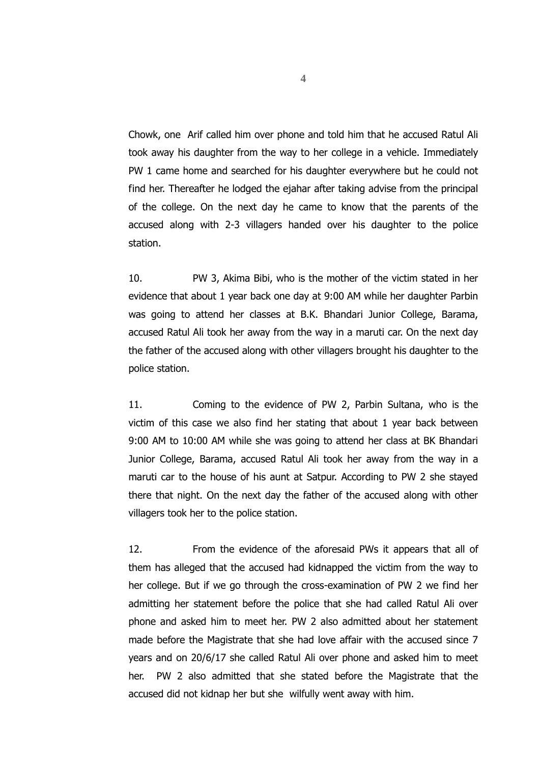Chowk, one Arif called him over phone and told him that he accused Ratul Ali took away his daughter from the way to her college in a vehicle. Immediately PW 1 came home and searched for his daughter everywhere but he could not find her. Thereafter he lodged the ejahar after taking advise from the principal of the college. On the next day he came to know that the parents of the accused along with 2-3 villagers handed over his daughter to the police station.

10. PW 3, Akima Bibi, who is the mother of the victim stated in her evidence that about 1 year back one day at 9:00 AM while her daughter Parbin was going to attend her classes at B.K. Bhandari Junior College, Barama, accused Ratul Ali took her away from the way in a maruti car. On the next day the father of the accused along with other villagers brought his daughter to the police station.

11. Coming to the evidence of PW 2, Parbin Sultana, who is the victim of this case we also find her stating that about 1 year back between 9:00 AM to 10:00 AM while she was going to attend her class at BK Bhandari Junior College, Barama, accused Ratul Ali took her away from the way in a maruti car to the house of his aunt at Satpur. According to PW 2 she stayed there that night. On the next day the father of the accused along with other villagers took her to the police station.

12. From the evidence of the aforesaid PWs it appears that all of them has alleged that the accused had kidnapped the victim from the way to her college. But if we go through the cross-examination of PW 2 we find her admitting her statement before the police that she had called Ratul Ali over phone and asked him to meet her. PW 2 also admitted about her statement made before the Magistrate that she had love affair with the accused since 7 years and on 20/6/17 she called Ratul Ali over phone and asked him to meet her. PW 2 also admitted that she stated before the Magistrate that the accused did not kidnap her but she wilfully went away with him.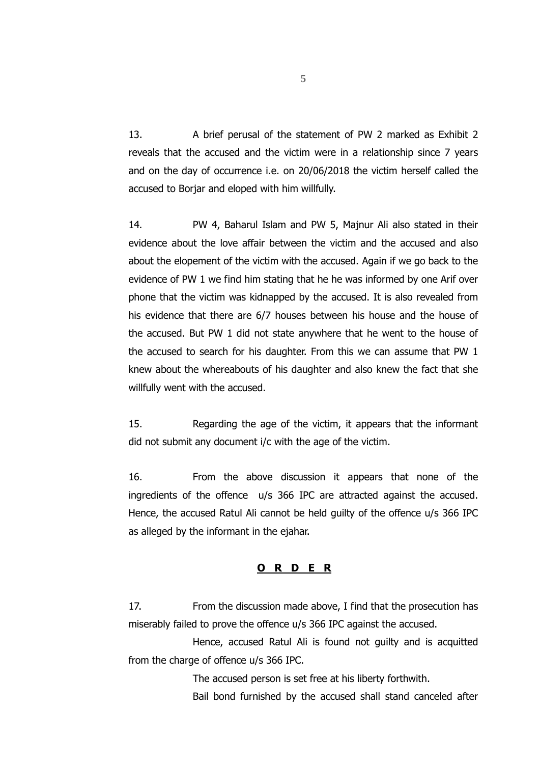13. A brief perusal of the statement of PW 2 marked as Exhibit 2 reveals that the accused and the victim were in a relationship since 7 years and on the day of occurrence i.e. on 20/06/2018 the victim herself called the accused to Borjar and eloped with him willfully.

14. PW 4, Baharul Islam and PW 5, Majnur Ali also stated in their evidence about the love affair between the victim and the accused and also about the elopement of the victim with the accused. Again if we go back to the evidence of PW 1 we find him stating that he he was informed by one Arif over phone that the victim was kidnapped by the accused. It is also revealed from his evidence that there are 6/7 houses between his house and the house of the accused. But PW 1 did not state anywhere that he went to the house of the accused to search for his daughter. From this we can assume that PW 1 knew about the whereabouts of his daughter and also knew the fact that she willfully went with the accused.

15. Regarding the age of the victim, it appears that the informant did not submit any document i/c with the age of the victim.

16. From the above discussion it appears that none of the ingredients of the offence u/s 366 IPC are attracted against the accused. Hence, the accused Ratul Ali cannot be held guilty of the offence u/s 366 IPC as alleged by the informant in the ejahar.

#### **O R D E R**

17. From the discussion made above, I find that the prosecution has miserably failed to prove the offence u/s 366 IPC against the accused.

Hence, accused Ratul Ali is found not guilty and is acquitted from the charge of offence u/s 366 IPC.

The accused person is set free at his liberty forthwith.

Bail bond furnished by the accused shall stand canceled after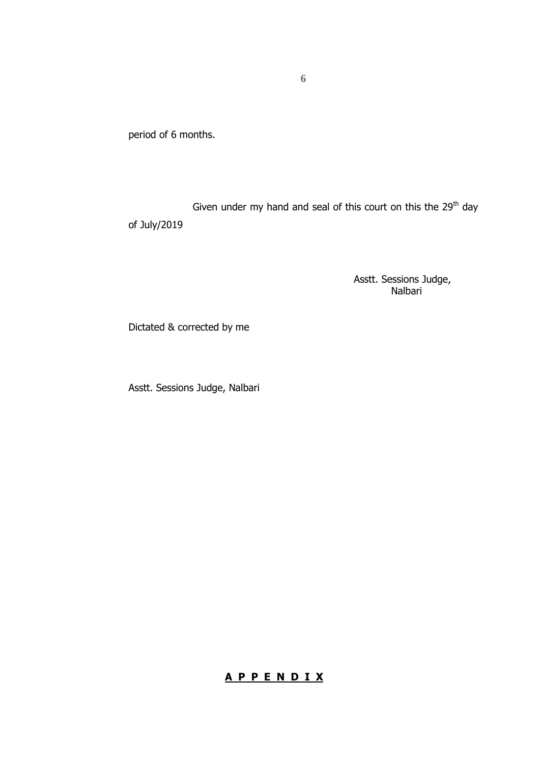period of 6 months.

Given under my hand and seal of this court on this the  $29<sup>th</sup>$  day of July/2019

> Asstt. Sessions Judge, Nalbari

Dictated & corrected by me

Asstt. Sessions Judge, Nalbari

# **A P P E N D I X**